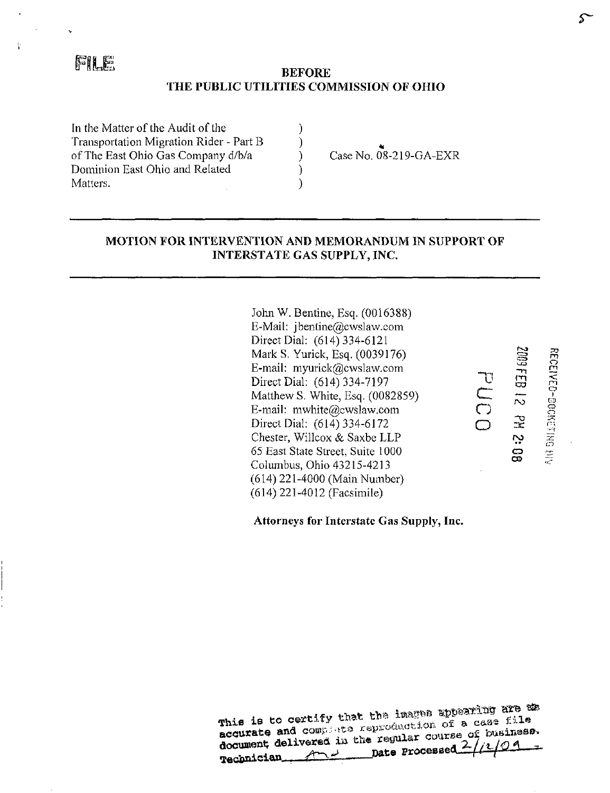RECEIVED-BOCKETING BIV

¥

# $\begin{array}{cc} \mathbb{R}^n & \mathbb{R}^n \ \mathbb{R}^n & \mathbb{R}^n \end{array}$  BEFORE THE PUBLIC UTILITIES COMMISSION OF OHIO

In the Matter of the Audit of the Transportation Migration Rider - Part B  $\bigcirc$   $\bigcirc$  Case No. 08-219-GA-EXR of The East Ohio Gas Company d/b/a  $\bigcirc$  Case No. 08-219-GA-EXR of The East Ohio Gas Company d/b/a Dominion East Ohio and Related Matters.

## MOTION FOR INTERVENTION AND MEMORANDUM IN SUPPORT OF INTERSTATE GAS SUPPLY, INC.

John W. Bentine, Esq. (0016388) E-Mail: jbentine@cwslaw.com Direct Dial: (614)334-6121 Mark S. Yurick, Esq. (0039176)<br>
E-mail: myurick@cwslaw.com<br>
Direct Dial: (614) 334-7197<br>
Matthew S. White, Esq. (0082859) E-mail: myurick@cwslaw.com<br>Direct Dial: (614) 334-7197<br>Matthew S. White, Esq. (0082859)<br>E-mail: mwhite@cwslaw.com Direct Dial: (614) 334-7197 Matthew S. White, Esq.  $(0082859)$ E-mail: mwhite@cwslaw.com  $\bigcap$ <br>Direct Dial: (614) 334-6172 Direct Dial: (614) 334-6172 E-mail: mwhite@cwslaw.com<br>Direct Dial: (614) 334-6172<br>Chester, Willcox & Saxbe LLP<br>65 East State Street, Suite 1000 65 East State Street, Suite 1000 Columbus, Ohio 43215-4213 \*^ (614) 221-4000 (Main Number) (614) 221-4012 (Facsimile)

Attorneys for Interstate Gas Supply, Inc.

This is to certify that the images appearing are the This is to certify that the images appearance file<br>accurate and complete reproduction of a case file acqurate and complete reproduction of a consiness.<br>document delivered in the regular course of business. Date Processed  $A \rightarrow$ Technician\_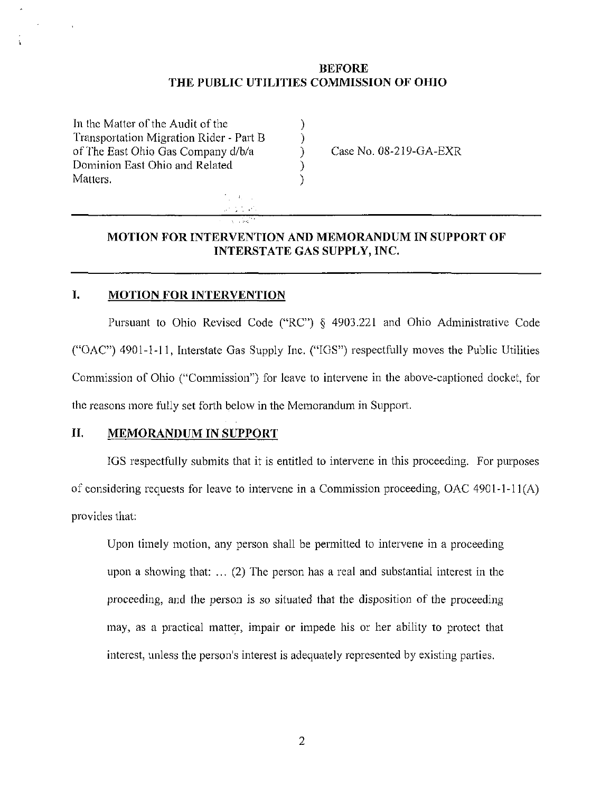## BEFORE THE PUBLIC UTILITIES COMMISSION OF OHIO

| In the Matter of the Audit of the                                             |                          |
|-------------------------------------------------------------------------------|--------------------------|
| Transportation Migration Rider - Part B<br>of The East Ohio Gas Company d/b/a | Case No. $08-219-GA-EXR$ |
| Dominion East Ohio and Related                                                |                          |
| Matters.                                                                      |                          |
| <b>Contract District</b>                                                      |                          |
| アプリント                                                                         |                          |
|                                                                               |                          |

## MOTION FOR INTERVENTION AND MEMORANDUM IN SUPPORT OF INTERSTATE GAS SUPPLY, INC.

#### I. MOTION FOR INTERVENTION

Pursuant to Ohio Revised Code ("RC") § 4903.221 and Ohio Administrative Code ("OAC") 4901-1-11, Interstate Gas Supply Inc. ("IGS") respectfully moves the Public Utilities Commission of Ohio ("Commission") for leave to intervene in the above-captioned docket, for the reasons more fully set forth below in the Memorandum in Support.

## II. MEMORANDUM IN SUPPORT

IGS respectfully submits that it is entitled to intervene in this proceeding. For purposes of considering requests for leave to intervene in a Commission proceeding, OAC 4901-1-11(A) provides that:

Upon timely motion, any person shall be permitted to intervene in a proceeding upon a showing that: ... (2) The person has a real and substantial interest in the proceeding, and the person is so situated that the disposition of the proceeding may, as a practical matter, impair or impede his or her ability to protect that interest, unless the person's interest is adequately represented by existing parties.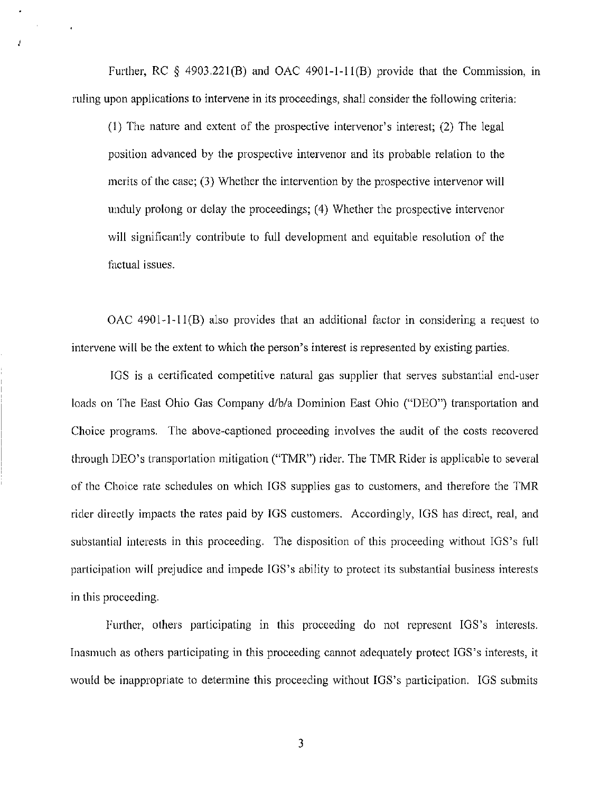Further, RC § 4903.221(B) and OAC 4901-1-11(B) provide that the Commission, in ruling upon applications to intervene in its proceedings, shall consider the following criteria:

(1) The nature and extent of the prospective intervenor's interest; (2) The legal position advanced by the prospective intervenor and its probable relation to the merits of the case; (3) Whether the intervention by the prospective intervenor will unduly prolong or delay the proceedings; (4) Whether the prospective intervenor will significantly contribute to full development and equitable resolution of the factual issues.

OAC 4901-1-11(B) also provides that an additional factor in considering a request to intervene will be the extent to which the person's interest is represented by existing parties.

IGS is a certificated competitive natural gas supplier that serves substantial end-user loads on The East Ohio Gas Company d/b/a Dominion East Ohio ("DEO") transportation and Choice programs. The above-captioned proceeding involves the audit of the costs recovered through DEO's transportation mitigation ("TMR") rider. The TMR Rider is applicable to several of the Choice rate schedules on which IGS supplies gas to customers, and therefore the TMR rider directly impacts the rates paid by IGS customers. Accordingly, IGS has direct, real, and substantial interests in this proceeding. The disposition of this proceeding without IGS's full participation will prejudice and impede IGS's ability to protect its substantial business interests in this proceeding.

Further, others participating in this proceeding do not represent IGS's interests. Inasmuch as others participating in this proceeding cannot adequately protect IGS's interests, it would be inappropriate to determine this proceeding without IGS's participation. IGS submits

 $\mathfrak{Z}$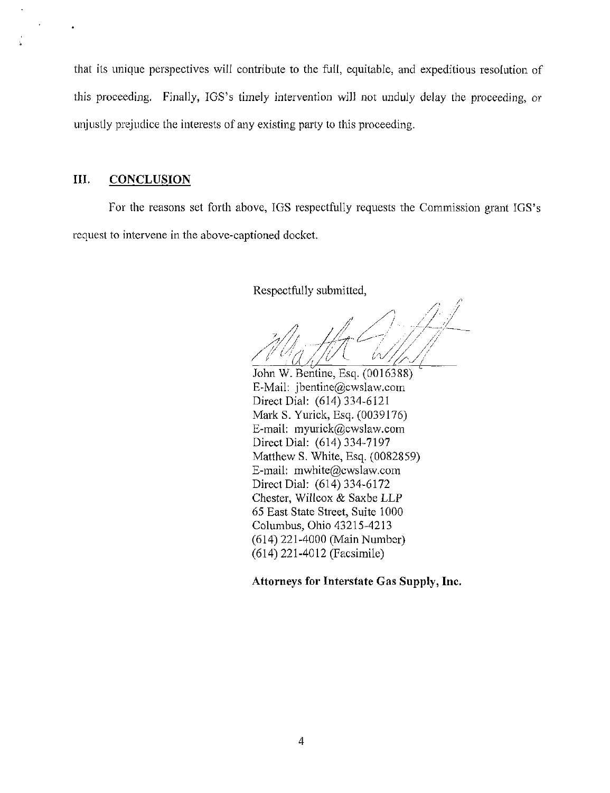that its unique perspectives will contribute to the full, equitable, and expeditious resolution of this proceeding. Finally, IGS's timely intervention will not unduly delay the proceeding, or unjustly prejudice the interests of any existing party to this proceeding.

## III. CONCLUSION

For the reasons set forth above, IGS respectfully requests the Commission grant IGS's request to intervene in the above-captioned docket.

Respectfully submitted,

John W. Bentine, Esq. (0016388) E-Mail: jbentine@cwslaw.com Direct Dial: (614) 334-6121 Mark S. Yurick, Esq. (0039176) E-mail: myurick@cwslaw.com Direct Dial: (614)334-7197 Matthew S. White, Esq. (0082859) E-mail: [mwhite@cwslaw.com](mailto:mwhite@cwslaw.com)  Direct Dial: (614) 334-6172 Chester, Willcox & Saxbe LLP 65 East State Street, Suite 1000 Columbus, Ohio 43215-4213 (614) 221-4000 (Main Number) (614) 221-4012 (Facsimile)

Attorneys for Interstate Gas Supply, Inc.